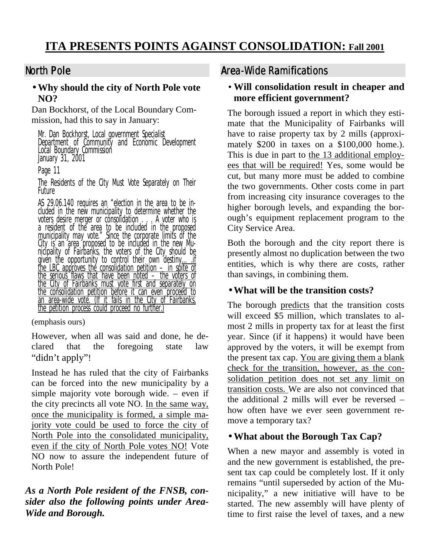# North Pole

## • **Why should the city of North Pole vote NO?**

Dan Bockhorst, of the Local Boundary Commission, had this to say in January:

Mr. Dan Bockhorst, Local government Specialist Department of Community and Economic Development Local Boundary Commission January 31, 2001

Page 11

The Residents of the City Must Vote Separately on Their Future

AS 29.06.140 requires an "election in the area to be included in the new municipality to determine whether the voters desire merger or consolidation . . . A voter who is a resident of the area to be included in the proposed municipality may vote." Since the corporate limits of the City is an area proposed to be included in the new Municipality of Fairbanks, the voters of the City should be given the opportunity to control their own destiny<u>…..if</u> the LBC approves the consolidation petition  $-$  in spite of the serious flaws that have been noted – the voters of the City of Fairbanks must vote first and separately on the consolidation petition before it can even proceed to an area-wide vote. (If it fails in the City of Fairbanks, the petition process could proceed no further.)

(emphasis ours)

However, when all was said and done, he declared that the foregoing state law "didn't apply"!

Instead he has ruled that the city of Fairbanks can be forced into the new municipality by a simple majority vote borough wide. – even if the city precincts all vote NO. In the same way, once the municipality is formed, a simple majority vote could be used to force the city of North Pole into the consolidated municipality, even if the city of North Pole votes NO! Vote NO now to assure the independent future of North Pole!

## *As a North Pole resident of the FNSB, consider also the following points under Area-Wide and Borough.*

# Area-Wide Ramifications

## • **Will consolidation result in cheaper and more efficient government?**

The borough issued a report in which they estimate that the Municipality of Fairbanks will have to raise property tax by 2 mills (approximately \$200 in taxes on a \$100,000 home.). This is due in part to the 13 additional employees that will be required! Yes, some would be cut, but many more must be added to combine the two governments. Other costs come in part from increasing city insurance coverages to the higher borough levels, and expanding the borough's equipment replacement program to the City Service Area.

Both the borough and the city report there is presently almost no duplication between the two entities, which is why there are costs, rather than savings, in combining them.

# • **What will be the transition costs?**

The borough predicts that the transition costs will exceed \$5 million, which translates to almost 2 mills in property tax for at least the first year. Since (if it happens) it would have been approved by the voters, it will be exempt from the present tax cap. You are giving them a blank check for the transition, however, as the consolidation petition does not set any limit on transition costs. We are also not convinced that the additional 2 mills will ever be reversed – how often have we ever seen government remove a temporary tax?

# • **What about the Borough Tax Cap?**

When a new mayor and assembly is voted in and the new government is established, the present tax cap could be completely lost. If it only remains "until superseded by action of the Municipality," a new initiative will have to be started. The new assembly will have plenty of time to first raise the level of taxes, and a new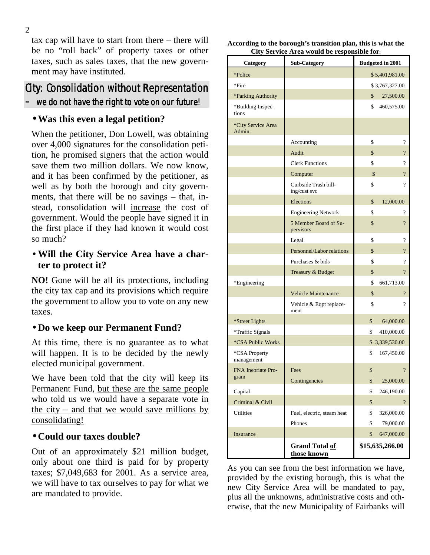tax cap will have to start from there – there will be no "roll back" of property taxes or other taxes, such as sales taxes, that the new government may have instituted.

# City: Consolidation without Representation  $-$  we do not have the right to vote on our future!

## • **Was this even a legal petition?**

When the petitioner, Don Lowell, was obtaining over 4,000 signatures for the consolidation petition, he promised signers that the action would save them two million dollars. We now know, and it has been confirmed by the petitioner, as well as by both the borough and city governments, that there will be no savings – that, instead, consolidation will increase the cost of government. Would the people have signed it in the first place if they had known it would cost so much?

## • **Will the City Service Area have a charter to protect it?**

**NO!** Gone will be all its protections, including the city tax cap and its provisions which require the government to allow you to vote on any new taxes.

## • **Do we keep our Permanent Fund?**

At this time, there is no guarantee as to what will happen. It is to be decided by the newly elected municipal government.

We have been told that the city will keep its Permanent Fund, but these are the same people who told us we would have a separate vote in the city – and that we would save millions by consolidating!

## • **Could our taxes double?**

Out of an approximately \$21 million budget, only about one third is paid for by property taxes; \$7,049,683 for 2001. As a service area, we will have to tax ourselves to pay for what we are mandated to provide.

**According to the borough's transition plan, this is what the City Service Area would be responsible for:** 

| Category                     | <b>Sub-Category</b>                  | <b>Budgeted in 2001</b>     |
|------------------------------|--------------------------------------|-----------------------------|
| *Police                      |                                      | \$5,401,981.00              |
| *Fire                        |                                      | \$3,767,327.00              |
| *Parking Authority           |                                      | \$<br>27,500.00             |
| *Building Inspec-<br>tions   |                                      | \$<br>460,575.00            |
| *City Service Area<br>Admin. |                                      |                             |
|                              | Accounting                           | \$<br>$\overline{\cdot}$    |
|                              | Audit                                | $\overline{\cdot}$<br>\$    |
|                              | <b>Clerk Functions</b>               | \$<br>$\overline{\cdot}$    |
|                              | Computer                             | $\overline{\cdot}$<br>\$    |
|                              | Curbside Trash bill-<br>ing/cust svc | \$<br>$\gamma$              |
|                              | Elections                            | \$<br>12,000.00             |
|                              | <b>Engineering Network</b>           | \$<br>$\overline{\cdot}$    |
|                              | 5 Member Board of Su-<br>pervisors   | $\overline{?}$<br>\$        |
|                              | Legal                                | \$<br>$\overline{\cdot}$    |
|                              | Personnel/Labor relations            | $\overline{?}$<br>\$        |
|                              | Purchases & bids                     | \$<br>?                     |
|                              | Treasury & Budget                    | \$<br>$\boldsymbol{\gamma}$ |
| *Engineering                 |                                      | \$<br>661,713.00            |
|                              | <b>Vehicle Maintenance</b>           | \$<br>$\overline{\cdot}$    |
|                              | Vehicle & Eqpt replace-<br>ment      | \$<br>$\overline{\cdot}$    |
| *Street Lights               |                                      | \$<br>64,000.00             |
| *Traffic Signals             |                                      | \$<br>410,000.00            |
| *CSA Public Works            |                                      | \$3,339,530.00              |
| *CSA Property<br>management  |                                      | \$<br>167,450.00            |
| FNA Inebriate Pro-           | Fees                                 | \$                          |
| gram                         | Contingencies                        | \$<br>25,000.00             |
| Capital                      |                                      | \$<br>246,190.00            |
| Criminal & Civil             |                                      | $\overline{?}$<br>\$        |
| Utilities                    | Fuel, electric, steam heat           | \$<br>326,000.00            |
|                              | Phones                               | \$<br>79,000.00             |
| Insurance                    |                                      | \$<br>647,000.00            |
|                              | <b>Grand Total of</b><br>those known | \$15,635,266.00             |

As you can see from the best information we have, provided by the existing borough, this is what the new City Service Area will be mandated to pay, plus all the unknowns, administrative costs and otherwise, that the new Municipality of Fairbanks will